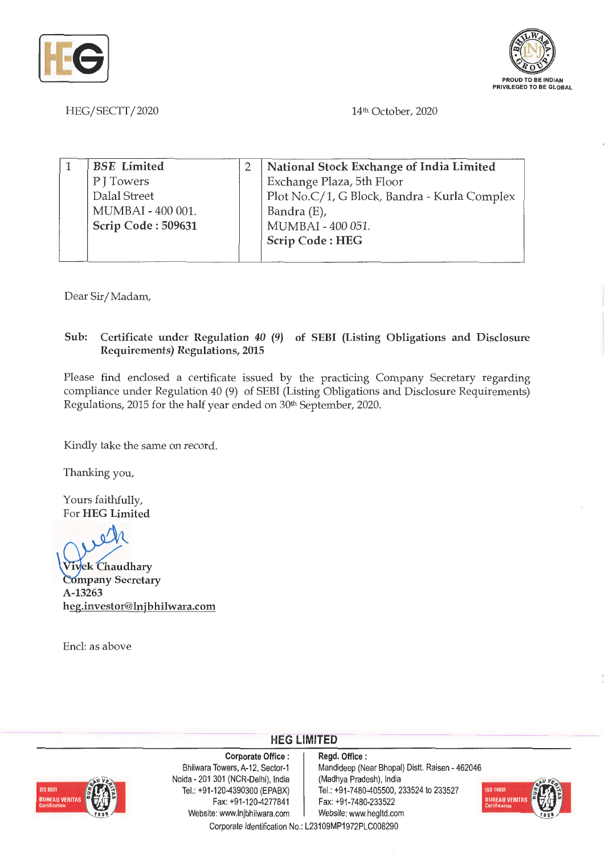



HEG/SECTT/2020 14th October, 2020

| <b>BSE</b> Limited | National Stock Exchange of India Limited     |
|--------------------|----------------------------------------------|
| P J Towers         | Exchange Plaza, 5th Floor                    |
| Dalal Street       | Plot No.C/1, G Block, Bandra - Kurla Complex |
| MUMBAI - 400 001.  | Bandra (E),                                  |
| Scrip Code: 509631 | MUMBAI - 400 051.                            |
|                    | Scrip Code: HEG                              |
|                    |                                              |

Dear Sir/ Madam,

## **Sub: Certificate under Regulation 40 (9) of SEBI (Listing Obligations and Disclosure Requirements) Regulations, 2015**

Please find enclosed a certificate issued by the practicing Company Secretary regarding compliance under Regulation 40 (9) of SEBI (Listing Obligations and Disclosure Requirements) Regulations, 2015 for the half year ended on 30<sup>th</sup> September, 2020.

Kindly take the same on record.

Thanking you,

Yours faithfully, For **HEG Limited** 

 $\sqrt{\lambda}$ 

/ **1 ek Chaudhary Company Secretary A-13263 heg.investor@lnjbhilwara.com** 

Encl: as above



**Corporate Office** : Bhilwara Towers, A-12, Sector-1 Noida - 201 301 (NCR-Delhi), India Tel.: +91-120-4390300 (EPABX) Fax: +91-120-4277841 Website: www.lnjbhilwara.com | Website: www.hegltd.com

**Regd. Office** : Mandideep (Near Bhopal) Distt. Raisen - 462046 (Madhya Pradesh), India Tel.: +91 -7480-405500, 233524 to 233527 Fax: +91 -7480-233522



Corporate Identification No.: L23109MP1972PLC008290

**HEG LIMITED**